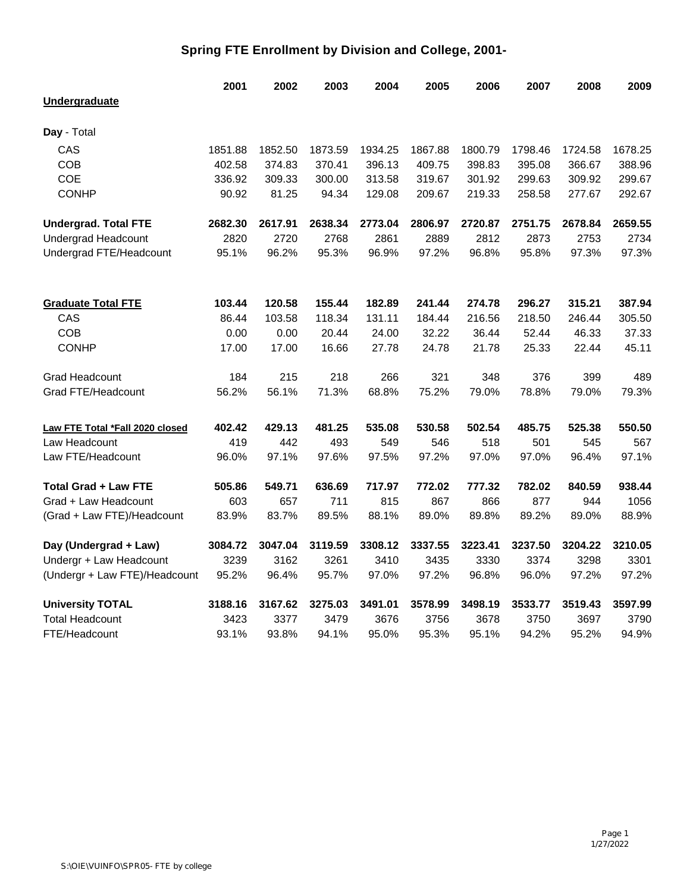## **Spring FTE Enrollment by Division and College, 2001-**

| Undergraduate<br>Day - Total<br>CAS<br>1851.88<br>1852.50<br>1800.79<br>1798.46<br>1724.58<br>1678.25<br>1873.59<br>1934.25<br>1867.88<br>COB<br>402.58<br>374.83<br>370.41<br>396.13<br>409.75<br>398.83<br>395.08<br>366.67<br>388.96<br><b>COE</b><br>309.33<br>300.00<br>313.58<br>319.67<br>301.92<br>299.63<br>309.92<br>299.67<br>336.92<br><b>CONHP</b><br>219.33<br>258.58<br>277.67<br>292.67<br>90.92<br>81.25<br>94.34<br>129.08<br>209.67<br>2659.55<br><b>Undergrad. Total FTE</b><br>2682.30<br>2617.91<br>2638.34<br>2773.04<br>2806.97<br>2720.87<br>2751.75<br>2678.84<br>2720<br>2889<br>2812<br>2873<br>2753<br>2734<br><b>Undergrad Headcount</b><br>2820<br>2768<br>2861<br>95.8%<br>Undergrad FTE/Headcount<br>95.1%<br>96.2%<br>95.3%<br>96.9%<br>97.2%<br>96.8%<br>97.3%<br>97.3%<br>103.44<br>120.58<br>155.44<br>182.89<br>241.44<br>274.78<br>296.27<br>315.21<br>387.94<br><b>Graduate Total FTE</b><br>CAS<br>86.44<br>103.58<br>118.34<br>131.11<br>184.44<br>216.56<br>218.50<br>246.44<br>305.50<br><b>COB</b><br>0.00<br>20.44<br>32.22<br>36.44<br>52.44<br>46.33<br>37.33<br>0.00<br>24.00<br><b>CONHP</b><br>16.66<br>24.78<br>21.78<br>25.33<br>22.44<br>45.11<br>17.00<br>17.00<br>27.78<br>215<br>218<br>266<br>321<br>376<br>399<br>489<br><b>Grad Headcount</b><br>184<br>348<br>56.1%<br>71.3%<br>68.8%<br>75.2%<br>79.0%<br>78.8%<br>79.3%<br>Grad FTE/Headcount<br>56.2%<br>79.0%<br>481.25<br>535.08<br>530.58<br>502.54<br>485.75<br>525.38<br>550.50<br>402.42<br>429.13<br>Law FTE Total *Fall 2020 closed<br>419<br>442<br>493<br>549<br>518<br>501<br>545<br>567<br>Law Headcount<br>546<br>97.6%<br>97.5%<br>97.2%<br>97.0%<br>97.0%<br>97.1%<br>Law FTE/Headcount<br>96.0%<br>97.1%<br>96.4%<br><b>Total Grad + Law FTE</b><br>505.86<br>549.71<br>636.69<br>717.97<br>772.02<br>777.32<br>782.02<br>840.59<br>938.44<br>603<br>657<br>711<br>815<br>867<br>866<br>877<br>944<br>1056<br>Grad + Law Headcount<br>83.9%<br>83.7%<br>89.5%<br>88.1%<br>89.0%<br>89.8%<br>89.2%<br>89.0%<br>88.9%<br>(Grad + Law FTE)/Headcount | 2001 | 2002 | 2003 | 2004 | 2005 | 2006 | 2007 | 2008 | 2009 |
|-----------------------------------------------------------------------------------------------------------------------------------------------------------------------------------------------------------------------------------------------------------------------------------------------------------------------------------------------------------------------------------------------------------------------------------------------------------------------------------------------------------------------------------------------------------------------------------------------------------------------------------------------------------------------------------------------------------------------------------------------------------------------------------------------------------------------------------------------------------------------------------------------------------------------------------------------------------------------------------------------------------------------------------------------------------------------------------------------------------------------------------------------------------------------------------------------------------------------------------------------------------------------------------------------------------------------------------------------------------------------------------------------------------------------------------------------------------------------------------------------------------------------------------------------------------------------------------------------------------------------------------------------------------------------------------------------------------------------------------------------------------------------------------------------------------------------------------------------------------------------------------------------------------------------------------------------------------------------------------------------------------------------------------------------------------------------------------|------|------|------|------|------|------|------|------|------|
|                                                                                                                                                                                                                                                                                                                                                                                                                                                                                                                                                                                                                                                                                                                                                                                                                                                                                                                                                                                                                                                                                                                                                                                                                                                                                                                                                                                                                                                                                                                                                                                                                                                                                                                                                                                                                                                                                                                                                                                                                                                                                   |      |      |      |      |      |      |      |      |      |
|                                                                                                                                                                                                                                                                                                                                                                                                                                                                                                                                                                                                                                                                                                                                                                                                                                                                                                                                                                                                                                                                                                                                                                                                                                                                                                                                                                                                                                                                                                                                                                                                                                                                                                                                                                                                                                                                                                                                                                                                                                                                                   |      |      |      |      |      |      |      |      |      |
|                                                                                                                                                                                                                                                                                                                                                                                                                                                                                                                                                                                                                                                                                                                                                                                                                                                                                                                                                                                                                                                                                                                                                                                                                                                                                                                                                                                                                                                                                                                                                                                                                                                                                                                                                                                                                                                                                                                                                                                                                                                                                   |      |      |      |      |      |      |      |      |      |
|                                                                                                                                                                                                                                                                                                                                                                                                                                                                                                                                                                                                                                                                                                                                                                                                                                                                                                                                                                                                                                                                                                                                                                                                                                                                                                                                                                                                                                                                                                                                                                                                                                                                                                                                                                                                                                                                                                                                                                                                                                                                                   |      |      |      |      |      |      |      |      |      |
|                                                                                                                                                                                                                                                                                                                                                                                                                                                                                                                                                                                                                                                                                                                                                                                                                                                                                                                                                                                                                                                                                                                                                                                                                                                                                                                                                                                                                                                                                                                                                                                                                                                                                                                                                                                                                                                                                                                                                                                                                                                                                   |      |      |      |      |      |      |      |      |      |
|                                                                                                                                                                                                                                                                                                                                                                                                                                                                                                                                                                                                                                                                                                                                                                                                                                                                                                                                                                                                                                                                                                                                                                                                                                                                                                                                                                                                                                                                                                                                                                                                                                                                                                                                                                                                                                                                                                                                                                                                                                                                                   |      |      |      |      |      |      |      |      |      |
|                                                                                                                                                                                                                                                                                                                                                                                                                                                                                                                                                                                                                                                                                                                                                                                                                                                                                                                                                                                                                                                                                                                                                                                                                                                                                                                                                                                                                                                                                                                                                                                                                                                                                                                                                                                                                                                                                                                                                                                                                                                                                   |      |      |      |      |      |      |      |      |      |
|                                                                                                                                                                                                                                                                                                                                                                                                                                                                                                                                                                                                                                                                                                                                                                                                                                                                                                                                                                                                                                                                                                                                                                                                                                                                                                                                                                                                                                                                                                                                                                                                                                                                                                                                                                                                                                                                                                                                                                                                                                                                                   |      |      |      |      |      |      |      |      |      |
|                                                                                                                                                                                                                                                                                                                                                                                                                                                                                                                                                                                                                                                                                                                                                                                                                                                                                                                                                                                                                                                                                                                                                                                                                                                                                                                                                                                                                                                                                                                                                                                                                                                                                                                                                                                                                                                                                                                                                                                                                                                                                   |      |      |      |      |      |      |      |      |      |
|                                                                                                                                                                                                                                                                                                                                                                                                                                                                                                                                                                                                                                                                                                                                                                                                                                                                                                                                                                                                                                                                                                                                                                                                                                                                                                                                                                                                                                                                                                                                                                                                                                                                                                                                                                                                                                                                                                                                                                                                                                                                                   |      |      |      |      |      |      |      |      |      |
|                                                                                                                                                                                                                                                                                                                                                                                                                                                                                                                                                                                                                                                                                                                                                                                                                                                                                                                                                                                                                                                                                                                                                                                                                                                                                                                                                                                                                                                                                                                                                                                                                                                                                                                                                                                                                                                                                                                                                                                                                                                                                   |      |      |      |      |      |      |      |      |      |
|                                                                                                                                                                                                                                                                                                                                                                                                                                                                                                                                                                                                                                                                                                                                                                                                                                                                                                                                                                                                                                                                                                                                                                                                                                                                                                                                                                                                                                                                                                                                                                                                                                                                                                                                                                                                                                                                                                                                                                                                                                                                                   |      |      |      |      |      |      |      |      |      |
|                                                                                                                                                                                                                                                                                                                                                                                                                                                                                                                                                                                                                                                                                                                                                                                                                                                                                                                                                                                                                                                                                                                                                                                                                                                                                                                                                                                                                                                                                                                                                                                                                                                                                                                                                                                                                                                                                                                                                                                                                                                                                   |      |      |      |      |      |      |      |      |      |
|                                                                                                                                                                                                                                                                                                                                                                                                                                                                                                                                                                                                                                                                                                                                                                                                                                                                                                                                                                                                                                                                                                                                                                                                                                                                                                                                                                                                                                                                                                                                                                                                                                                                                                                                                                                                                                                                                                                                                                                                                                                                                   |      |      |      |      |      |      |      |      |      |
|                                                                                                                                                                                                                                                                                                                                                                                                                                                                                                                                                                                                                                                                                                                                                                                                                                                                                                                                                                                                                                                                                                                                                                                                                                                                                                                                                                                                                                                                                                                                                                                                                                                                                                                                                                                                                                                                                                                                                                                                                                                                                   |      |      |      |      |      |      |      |      |      |
|                                                                                                                                                                                                                                                                                                                                                                                                                                                                                                                                                                                                                                                                                                                                                                                                                                                                                                                                                                                                                                                                                                                                                                                                                                                                                                                                                                                                                                                                                                                                                                                                                                                                                                                                                                                                                                                                                                                                                                                                                                                                                   |      |      |      |      |      |      |      |      |      |
|                                                                                                                                                                                                                                                                                                                                                                                                                                                                                                                                                                                                                                                                                                                                                                                                                                                                                                                                                                                                                                                                                                                                                                                                                                                                                                                                                                                                                                                                                                                                                                                                                                                                                                                                                                                                                                                                                                                                                                                                                                                                                   |      |      |      |      |      |      |      |      |      |
|                                                                                                                                                                                                                                                                                                                                                                                                                                                                                                                                                                                                                                                                                                                                                                                                                                                                                                                                                                                                                                                                                                                                                                                                                                                                                                                                                                                                                                                                                                                                                                                                                                                                                                                                                                                                                                                                                                                                                                                                                                                                                   |      |      |      |      |      |      |      |      |      |
|                                                                                                                                                                                                                                                                                                                                                                                                                                                                                                                                                                                                                                                                                                                                                                                                                                                                                                                                                                                                                                                                                                                                                                                                                                                                                                                                                                                                                                                                                                                                                                                                                                                                                                                                                                                                                                                                                                                                                                                                                                                                                   |      |      |      |      |      |      |      |      |      |
|                                                                                                                                                                                                                                                                                                                                                                                                                                                                                                                                                                                                                                                                                                                                                                                                                                                                                                                                                                                                                                                                                                                                                                                                                                                                                                                                                                                                                                                                                                                                                                                                                                                                                                                                                                                                                                                                                                                                                                                                                                                                                   |      |      |      |      |      |      |      |      |      |
|                                                                                                                                                                                                                                                                                                                                                                                                                                                                                                                                                                                                                                                                                                                                                                                                                                                                                                                                                                                                                                                                                                                                                                                                                                                                                                                                                                                                                                                                                                                                                                                                                                                                                                                                                                                                                                                                                                                                                                                                                                                                                   |      |      |      |      |      |      |      |      |      |
|                                                                                                                                                                                                                                                                                                                                                                                                                                                                                                                                                                                                                                                                                                                                                                                                                                                                                                                                                                                                                                                                                                                                                                                                                                                                                                                                                                                                                                                                                                                                                                                                                                                                                                                                                                                                                                                                                                                                                                                                                                                                                   |      |      |      |      |      |      |      |      |      |
|                                                                                                                                                                                                                                                                                                                                                                                                                                                                                                                                                                                                                                                                                                                                                                                                                                                                                                                                                                                                                                                                                                                                                                                                                                                                                                                                                                                                                                                                                                                                                                                                                                                                                                                                                                                                                                                                                                                                                                                                                                                                                   |      |      |      |      |      |      |      |      |      |
| 3084.72<br>3223.41<br>3237.50<br>3204.22<br>3210.05<br>Day (Undergrad + Law)<br>3047.04<br>3119.59<br>3308.12<br>3337.55                                                                                                                                                                                                                                                                                                                                                                                                                                                                                                                                                                                                                                                                                                                                                                                                                                                                                                                                                                                                                                                                                                                                                                                                                                                                                                                                                                                                                                                                                                                                                                                                                                                                                                                                                                                                                                                                                                                                                          |      |      |      |      |      |      |      |      |      |
| Undergr + Law Headcount<br>3239<br>3374<br>3298<br>3301<br>3162<br>3261<br>3410<br>3435<br>3330                                                                                                                                                                                                                                                                                                                                                                                                                                                                                                                                                                                                                                                                                                                                                                                                                                                                                                                                                                                                                                                                                                                                                                                                                                                                                                                                                                                                                                                                                                                                                                                                                                                                                                                                                                                                                                                                                                                                                                                   |      |      |      |      |      |      |      |      |      |
| 95.7%<br>96.8%<br>96.0%<br>97.2%<br>97.2%<br>(Undergr + Law FTE)/Headcount<br>95.2%<br>96.4%<br>97.0%<br>97.2%                                                                                                                                                                                                                                                                                                                                                                                                                                                                                                                                                                                                                                                                                                                                                                                                                                                                                                                                                                                                                                                                                                                                                                                                                                                                                                                                                                                                                                                                                                                                                                                                                                                                                                                                                                                                                                                                                                                                                                    |      |      |      |      |      |      |      |      |      |
| 3597.99<br><b>University TOTAL</b><br>3167.62<br>3275.03<br>3491.01<br>3578.99<br>3498.19<br>3533.77<br>3519.43<br>3188.16                                                                                                                                                                                                                                                                                                                                                                                                                                                                                                                                                                                                                                                                                                                                                                                                                                                                                                                                                                                                                                                                                                                                                                                                                                                                                                                                                                                                                                                                                                                                                                                                                                                                                                                                                                                                                                                                                                                                                        |      |      |      |      |      |      |      |      |      |
| <b>Total Headcount</b><br>3423<br>3377<br>3676<br>3756<br>3678<br>3750<br>3697<br>3790<br>3479                                                                                                                                                                                                                                                                                                                                                                                                                                                                                                                                                                                                                                                                                                                                                                                                                                                                                                                                                                                                                                                                                                                                                                                                                                                                                                                                                                                                                                                                                                                                                                                                                                                                                                                                                                                                                                                                                                                                                                                    |      |      |      |      |      |      |      |      |      |
| 93.1%<br>93.8%<br>94.1%<br>95.3%<br>95.1%<br>94.2%<br>95.2%<br>94.9%<br>FTE/Headcount<br>95.0%                                                                                                                                                                                                                                                                                                                                                                                                                                                                                                                                                                                                                                                                                                                                                                                                                                                                                                                                                                                                                                                                                                                                                                                                                                                                                                                                                                                                                                                                                                                                                                                                                                                                                                                                                                                                                                                                                                                                                                                    |      |      |      |      |      |      |      |      |      |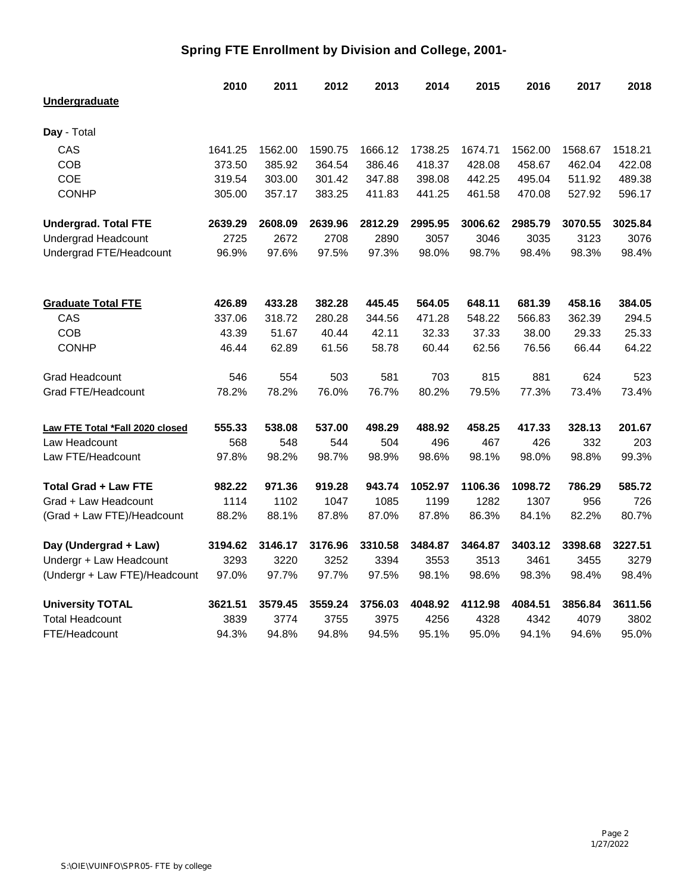## **Spring FTE Enrollment by Division and College, 2001-**

|                                 | 2010    | 2011    | 2012    | 2013    | 2014    | 2015    | 2016    | 2017    | 2018    |
|---------------------------------|---------|---------|---------|---------|---------|---------|---------|---------|---------|
| <b>Undergraduate</b>            |         |         |         |         |         |         |         |         |         |
| Day - Total                     |         |         |         |         |         |         |         |         |         |
|                                 |         |         |         |         |         |         |         |         |         |
| CAS                             | 1641.25 | 1562.00 | 1590.75 | 1666.12 | 1738.25 | 1674.71 | 1562.00 | 1568.67 | 1518.21 |
| <b>COB</b><br><b>COE</b>        | 373.50  | 385.92  | 364.54  | 386.46  | 418.37  | 428.08  | 458.67  | 462.04  | 422.08  |
|                                 | 319.54  | 303.00  | 301.42  | 347.88  | 398.08  | 442.25  | 495.04  | 511.92  | 489.38  |
| <b>CONHP</b>                    | 305.00  | 357.17  | 383.25  | 411.83  | 441.25  | 461.58  | 470.08  | 527.92  | 596.17  |
| <b>Undergrad. Total FTE</b>     | 2639.29 | 2608.09 | 2639.96 | 2812.29 | 2995.95 | 3006.62 | 2985.79 | 3070.55 | 3025.84 |
| <b>Undergrad Headcount</b>      | 2725    | 2672    | 2708    | 2890    | 3057    | 3046    | 3035    | 3123    | 3076    |
| Undergrad FTE/Headcount         | 96.9%   | 97.6%   | 97.5%   | 97.3%   | 98.0%   | 98.7%   | 98.4%   | 98.3%   | 98.4%   |
| <b>Graduate Total FTE</b>       | 426.89  | 433.28  | 382.28  | 445.45  | 564.05  | 648.11  | 681.39  | 458.16  | 384.05  |
| CAS                             | 337.06  | 318.72  | 280.28  | 344.56  | 471.28  | 548.22  | 566.83  | 362.39  | 294.5   |
| COB                             | 43.39   | 51.67   | 40.44   | 42.11   | 32.33   | 37.33   | 38.00   | 29.33   | 25.33   |
| <b>CONHP</b>                    | 46.44   | 62.89   | 61.56   | 58.78   | 60.44   | 62.56   | 76.56   | 66.44   | 64.22   |
|                                 |         |         |         |         |         |         |         |         |         |
| <b>Grad Headcount</b>           | 546     | 554     | 503     | 581     | 703     | 815     | 881     | 624     | 523     |
| Grad FTE/Headcount              | 78.2%   | 78.2%   | 76.0%   | 76.7%   | 80.2%   | 79.5%   | 77.3%   | 73.4%   | 73.4%   |
| Law FTE Total *Fall 2020 closed | 555.33  | 538.08  | 537.00  | 498.29  | 488.92  | 458.25  | 417.33  | 328.13  | 201.67  |
| Law Headcount                   | 568     | 548     | 544     | 504     | 496     | 467     | 426     | 332     | 203     |
| Law FTE/Headcount               | 97.8%   | 98.2%   | 98.7%   | 98.9%   | 98.6%   | 98.1%   | 98.0%   | 98.8%   | 99.3%   |
| <b>Total Grad + Law FTE</b>     | 982.22  | 971.36  | 919.28  | 943.74  | 1052.97 | 1106.36 | 1098.72 | 786.29  | 585.72  |
| Grad + Law Headcount            | 1114    | 1102    | 1047    | 1085    | 1199    | 1282    | 1307    | 956     | 726     |
| (Grad + Law FTE)/Headcount      | 88.2%   | 88.1%   | 87.8%   | 87.0%   | 87.8%   | 86.3%   | 84.1%   | 82.2%   | 80.7%   |
| Day (Undergrad + Law)           | 3194.62 | 3146.17 | 3176.96 | 3310.58 | 3484.87 | 3464.87 | 3403.12 | 3398.68 | 3227.51 |
| Undergr + Law Headcount         | 3293    | 3220    | 3252    | 3394    | 3553    | 3513    | 3461    | 3455    | 3279    |
| (Undergr + Law FTE)/Headcount   | 97.0%   | 97.7%   | 97.7%   | 97.5%   | 98.1%   | 98.6%   | 98.3%   | 98.4%   | 98.4%   |
| <b>University TOTAL</b>         | 3621.51 | 3579.45 | 3559.24 | 3756.03 | 4048.92 | 4112.98 | 4084.51 | 3856.84 | 3611.56 |
| <b>Total Headcount</b>          | 3839    | 3774    | 3755    | 3975    | 4256    | 4328    | 4342    | 4079    | 3802    |
| FTE/Headcount                   | 94.3%   | 94.8%   | 94.8%   | 94.5%   | 95.1%   | 95.0%   | 94.1%   | 94.6%   | 95.0%   |